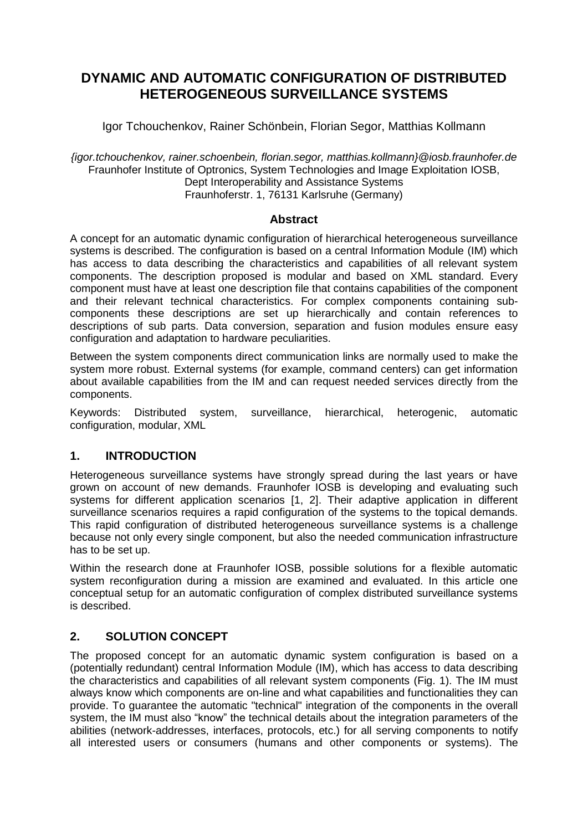# **DYNAMIC AND AUTOMATIC CONFIGURATION OF DISTRIBUTED HETEROGENEOUS SURVEILLANCE SYSTEMS**

Igor Tchouchenkov, Rainer Schönbein, Florian Segor, Matthias Kollmann

*{igor.tchouchenkov, rainer.schoenbein, florian.segor, matthias.kollmann}@iosb.fraunhofer.de* Fraunhofer Institute of Optronics, System Technologies and Image Exploitation IOSB, Dept Interoperability and Assistance Systems Fraunhoferstr. 1, 76131 Karlsruhe (Germany)

#### **Abstract**

A concept for an automatic dynamic configuration of hierarchical heterogeneous surveillance systems is described. The configuration is based on a central Information Module (IM) which has access to data describing the characteristics and capabilities of all relevant system components. The description proposed is modular and based on XML standard. Every component must have at least one description file that contains capabilities of the component and their relevant technical characteristics. For complex components containing subcomponents these descriptions are set up hierarchically and contain references to descriptions of sub parts. Data conversion, separation and fusion modules ensure easy configuration and adaptation to hardware peculiarities.

Between the system components direct communication links are normally used to make the system more robust. External systems (for example, command centers) can get information about available capabilities from the IM and can request needed services directly from the components.

Keywords: Distributed system, surveillance, hierarchical, heterogenic, automatic configuration, modular, XML

## **1. INTRODUCTION**

Heterogeneous surveillance systems have strongly spread during the last years or have grown on account of new demands. Fraunhofer IOSB is developing and evaluating such systems for different application scenarios [1, 2]. Their adaptive application in different surveillance scenarios requires a rapid configuration of the systems to the topical demands. This rapid configuration of distributed heterogeneous surveillance systems is a challenge because not only every single component, but also the needed communication infrastructure has to be set up.

Within the research done at Fraunhofer IOSB, possible solutions for a flexible automatic system reconfiguration during a mission are examined and evaluated. In this article one conceptual setup for an automatic configuration of complex distributed surveillance systems is described.

## **2. SOLUTION CONCEPT**

The proposed concept for an automatic dynamic system configuration is based on a (potentially redundant) central Information Module (IM), which has access to data describing the characteristics and capabilities of all relevant system components (Fig. 1). The IM must always know which components are on-line and what capabilities and functionalities they can provide. To guarantee the automatic "technical" integration of the components in the overall system, the IM must also "know" the technical details about the integration parameters of the abilities (network-addresses, interfaces, protocols, etc.) for all serving components to notify all interested users or consumers (humans and other components or systems). The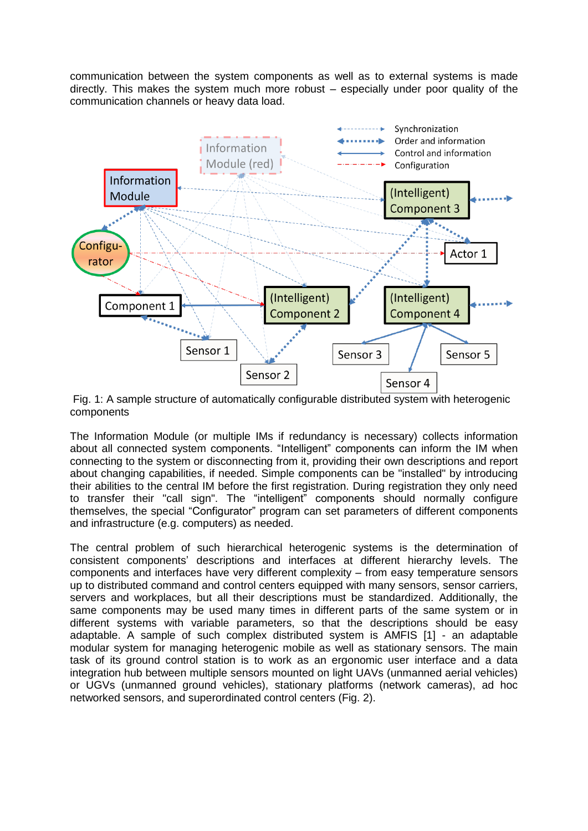communication between the system components as well as to external systems is made directly. This makes the system much more robust – especially under poor quality of the communication channels or heavy data load.



Fig. 1: A sample structure of automatically configurable distributed system with heterogenic components

The Information Module (or multiple IMs if redundancy is necessary) collects information about all connected system components. "Intelligent" components can inform the IM when connecting to the system or disconnecting from it, providing their own descriptions and report about changing capabilities, if needed. Simple components can be "installed" by introducing their abilities to the central IM before the first registration. During registration they only need to transfer their "call sign". The "intelligent" components should normally configure themselves, the special "Configurator" program can set parameters of different components and infrastructure (e.g. computers) as needed.

The central problem of such hierarchical heterogenic systems is the determination of consistent components' descriptions and interfaces at different hierarchy levels. The components and interfaces have very different complexity – from easy temperature sensors up to distributed command and control centers equipped with many sensors, sensor carriers, servers and workplaces, but all their descriptions must be standardized. Additionally, the same components may be used many times in different parts of the same system or in different systems with variable parameters, so that the descriptions should be easy adaptable. A sample of such complex distributed system is AMFIS [1] - an adaptable modular system for managing heterogenic mobile as well as stationary sensors. The main task of its ground control station is to work as an ergonomic user interface and a data integration hub between multiple sensors mounted on light UAVs (unmanned aerial vehicles) or UGVs (unmanned ground vehicles), stationary platforms (network cameras), ad hoc networked sensors, and superordinated control centers (Fig. 2).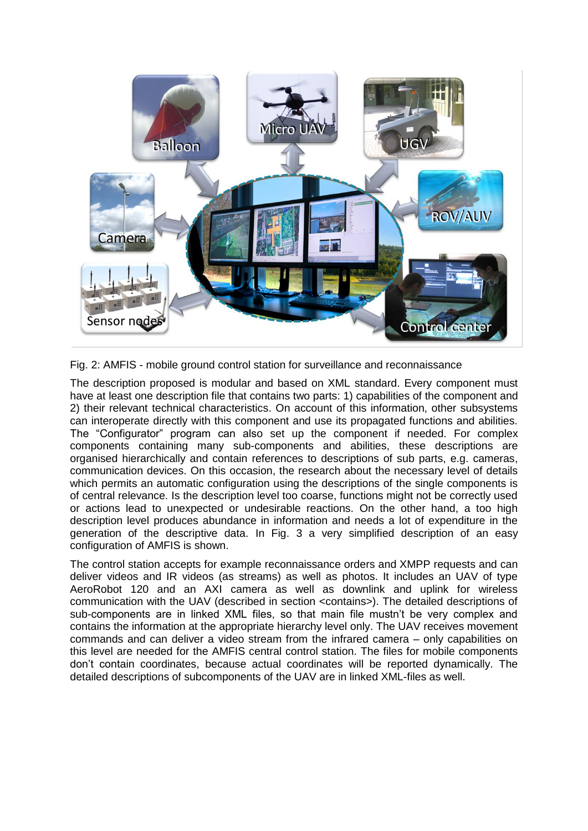

Fig. 2: AMFIS - mobile ground control station for surveillance and reconnaissance

The description proposed is modular and based on XML standard. Every component must have at least one description file that contains two parts: 1) capabilities of the component and 2) their relevant technical characteristics. On account of this information, other subsystems can interoperate directly with this component and use its propagated functions and abilities. The "Configurator" program can also set up the component if needed. For complex components containing many sub-components and abilities, these descriptions are organised hierarchically and contain references to descriptions of sub parts, e.g. cameras, communication devices. On this occasion, the research about the necessary level of details which permits an automatic configuration using the descriptions of the single components is of central relevance. Is the description level too coarse, functions might not be correctly used or actions lead to unexpected or undesirable reactions. On the other hand, a too high description level produces abundance in information and needs a lot of expenditure in the generation of the descriptive data. In Fig. 3 a very simplified description of an easy configuration of AMFIS is shown.

The control station accepts for example reconnaissance orders and XMPP requests and can deliver videos and IR videos (as streams) as well as photos. It includes an UAV of type AeroRobot 120 and an AXI camera as well as downlink and uplink for wireless communication with the UAV (described in section <contains>). The detailed descriptions of sub-components are in linked XML files, so that main file mustn't be very complex and contains the information at the appropriate hierarchy level only. The UAV receives movement commands and can deliver a video stream from the infrared camera – only capabilities on this level are needed for the AMFIS central control station. The files for mobile components don't contain coordinates, because actual coordinates will be reported dynamically. The detailed descriptions of subcomponents of the UAV are in linked XML-files as well.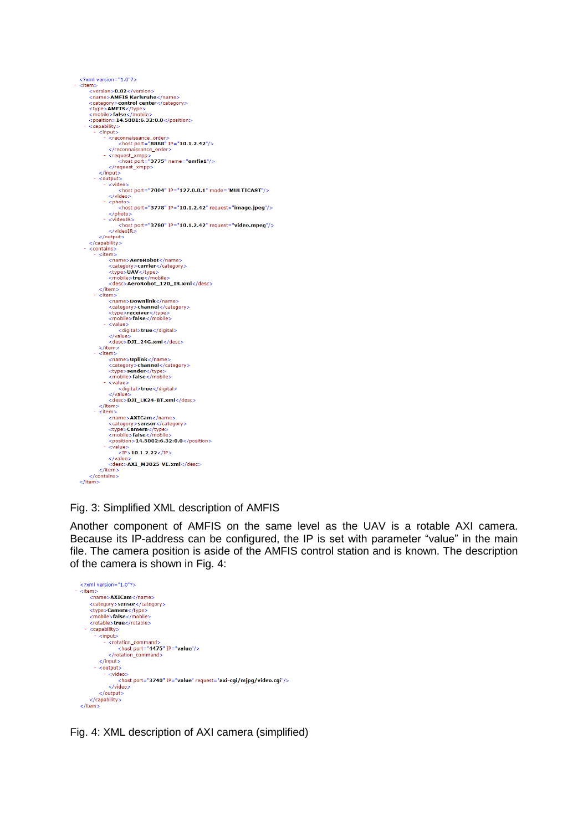

#### Fig. 3: Simplified XML description of AMFIS

Another component of AMFIS on the same level as the UAV is a rotable AXI camera. Because its IP-address can be configured, the IP is set with parameter "value" in the main file. The camera position is aside of the AMFIS control station and is known. The description of the camera is shown in Fig. 4:



Fig. 4: XML description of AXI camera (simplified)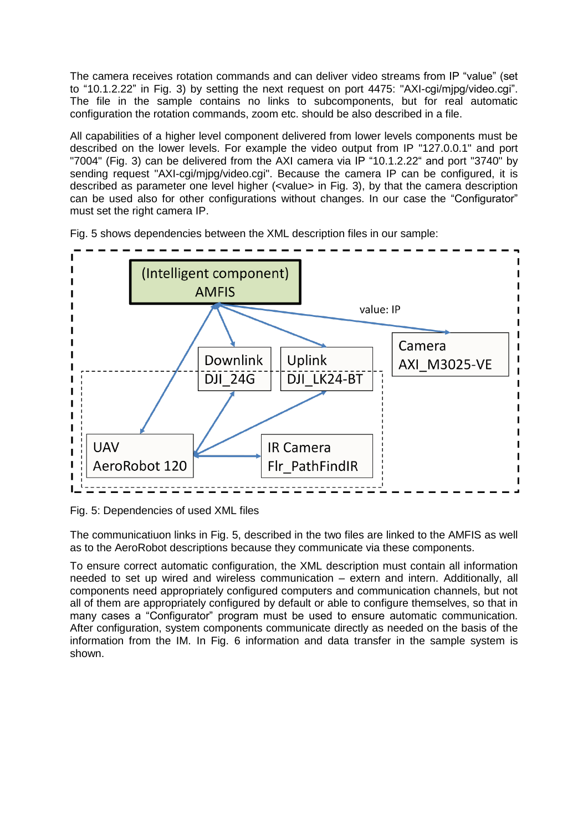The camera receives rotation commands and can deliver video streams from IP "value" (set to "10.1.2.22" in Fig. 3) by setting the next request on port 4475: "AXI-cgi/mjpg/video.cgi". The file in the sample contains no links to subcomponents, but for real automatic configuration the rotation commands, zoom etc. should be also described in a file.

All capabilities of a higher level component delivered from lower levels components must be described on the lower levels. For example the video output from IP "127.0.0.1" and port "7004" (Fig. 3) can be delivered from the AXI camera via IP "10.1.2.22" and port "3740" by sending request "AXI-cgi/mipg/video.cgi". Because the camera IP can be configured, it is described as parameter one level higher (<value> in Fig. 3), by that the camera description can be used also for other configurations without changes. In our case the "Configurator" must set the right camera IP.



Fig. 5 shows dependencies between the XML description files in our sample:

Fig. 5: Dependencies of used XML files

The communicatiuon links in Fig. 5, described in the two files are linked to the AMFIS as well as to the AeroRobot descriptions because they communicate via these components.

To ensure correct automatic configuration, the XML description must contain all information needed to set up wired and wireless communication – extern and intern. Additionally, all components need appropriately configured computers and communication channels, but not all of them are appropriately configured by default or able to configure themselves, so that in many cases a "Configurator" program must be used to ensure automatic communication. After configuration, system components communicate directly as needed on the basis of the information from the IM. In Fig. 6 information and data transfer in the sample system is shown.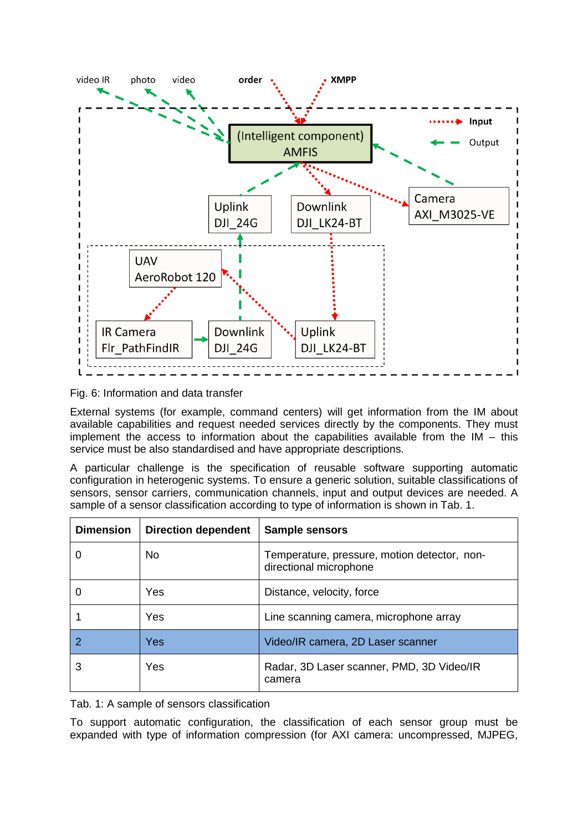

Fig. 6: Information and data transfer

External systems (for example, command centers) will get information from the IM about available capabilities and request needed services directly by the components. They must implement the access to information about the capabilities available from the IM – this service must be also standardised and have appropriate descriptions.

A particular challenge is the specification of reusable software supporting automatic configuration in heterogenic systems. To ensure a generic solution, suitable classifications of sensors, sensor carriers, communication channels, input and output devices are needed. A sample of a sensor classification according to type of information is shown in Tab. 1.

| <b>Dimension</b> | <b>Direction dependent</b> | Sample sensors                                                         |  |  |  |
|------------------|----------------------------|------------------------------------------------------------------------|--|--|--|
|                  | No                         | Temperature, pressure, motion detector, non-<br>directional microphone |  |  |  |
|                  | Yes                        | Distance, velocity, force                                              |  |  |  |
|                  | Yes                        | Line scanning camera, microphone array                                 |  |  |  |
|                  | Yes                        | Video/IR camera, 2D Laser scanner                                      |  |  |  |
|                  | Yes                        | Radar, 3D Laser scanner, PMD, 3D Video/IR<br>camera                    |  |  |  |

Tab. 1: A sample of sensors classification

To support automatic configuration, the classification of each sensor group must be expanded with type of information compression (for AXI camera: uncompressed, MJPEG,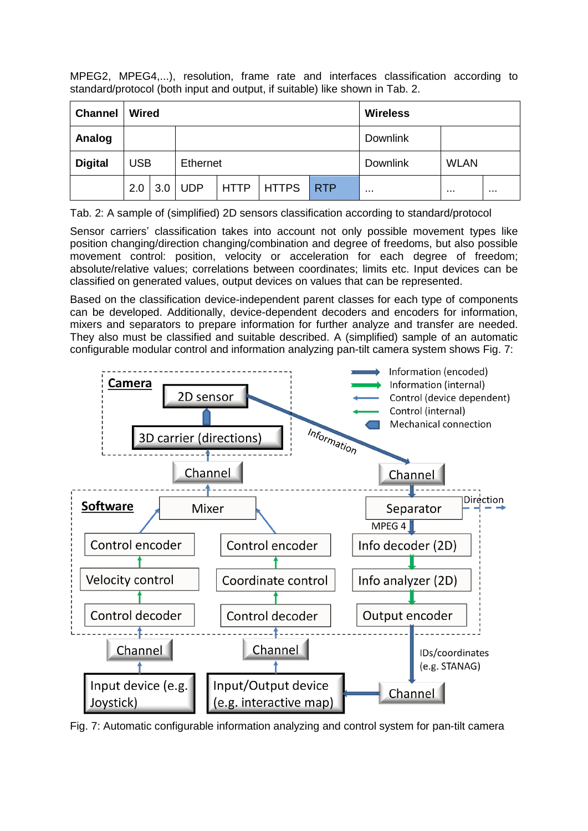MPEG2, MPEG4,...), resolution, frame rate and interfaces classification according to standard/protocol (both input and output, if suitable) like shown in Tab. 2.

| <b>Channel</b> | <b>Wired</b>           |     |     |             |              |                 | <b>Wireless</b> |          |          |
|----------------|------------------------|-----|-----|-------------|--------------|-----------------|-----------------|----------|----------|
| Analog         |                        |     |     |             |              |                 | <b>Downlink</b> |          |          |
| <b>Digital</b> | <b>USB</b><br>Ethernet |     |     |             |              | <b>Downlink</b> | <b>WLAN</b>     |          |          |
|                | 2.0                    | 3.0 | UDP | <b>HTTP</b> | <b>HTTPS</b> | <b>RTP</b>      |                 | $\cdots$ | $\cdots$ |

Tab. 2: A sample of (simplified) 2D sensors classification according to standard/protocol

Sensor carriers' classification takes into account not only possible movement types like position changing/direction changing/combination and degree of freedoms, but also possible movement control: position, velocity or acceleration for each degree of freedom; absolute/relative values; correlations between coordinates; limits etc. Input devices can be classified on generated values, output devices on values that can be represented.

Based on the classification device-independent parent classes for each type of components can be developed. Additionally, device-dependent decoders and encoders for information, mixers and separators to prepare information for further analyze and transfer are needed. They also must be classified and suitable described. A (simplified) sample of an automatic configurable modular control and information analyzing pan-tilt camera system shows Fig. 7:



Fig. 7: Automatic configurable information analyzing and control system for pan-tilt camera